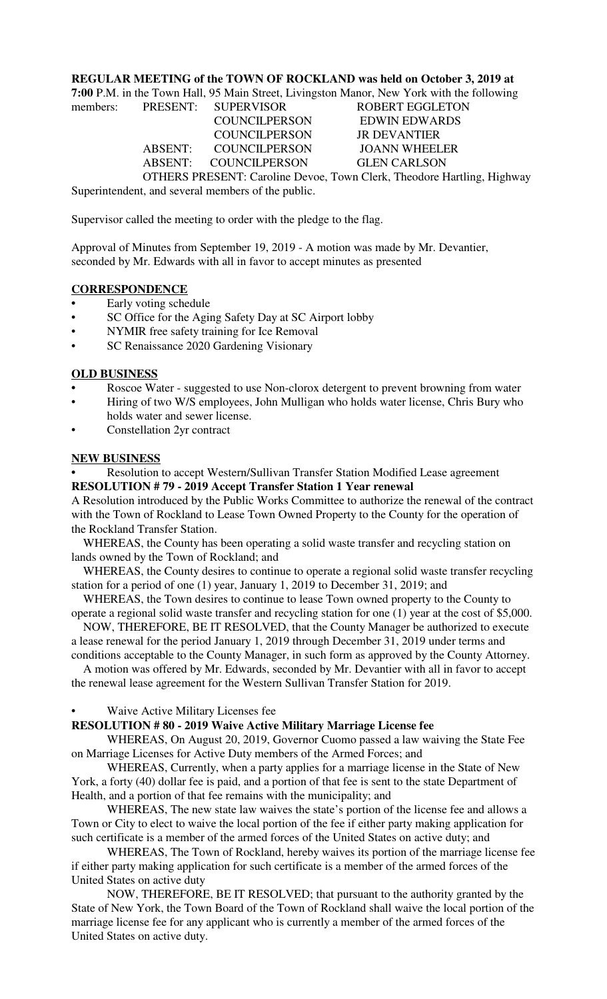#### **REGULAR MEETING of the TOWN OF ROCKLAND was held on October 3, 2019 at**

**7:00** P.M. in the Town Hall, 95 Main Street, Livingston Manor, New York with the following

members: PRESENT: SUPERVISOR ROBERT EGGLETON COUNCILPERSON EDWIN EDWARDS COUNCILPERSON JR DEVANTIER ABSENT: COUNCILPERSON JOANN WHEELER ABSENT: COUNCILPERSON GLEN CARLSON OTHERS PRESENT: Caroline Devoe, Town Clerk, Theodore Hartling, Highway

Superintendent, and several members of the public.

Supervisor called the meeting to order with the pledge to the flag.

Approval of Minutes from September 19, 2019 - A motion was made by Mr. Devantier, seconded by Mr. Edwards with all in favor to accept minutes as presented

# **CORRESPONDENCE**

- **•** Early voting schedule
- SC Office for the Aging Safety Day at SC Airport lobby
- NYMIR free safety training for Ice Removal
- SC Renaissance 2020 Gardening Visionary

#### **OLD BUSINESS**

- **•** Roscoe Water suggested to use Non-clorox detergent to prevent browning from water
- Hiring of two W/S employees, John Mulligan who holds water license, Chris Bury who holds water and sewer license.
- Constellation 2yr contract

#### **NEW BUSINESS**

**•** Resolution to accept Western/Sullivan Transfer Station Modified Lease agreement **RESOLUTION # 79 - 2019 Accept Transfer Station 1 Year renewal**

A Resolution introduced by the Public Works Committee to authorize the renewal of the contract with the Town of Rockland to Lease Town Owned Property to the County for the operation of the Rockland Transfer Station.

 WHEREAS, the County has been operating a solid waste transfer and recycling station on lands owned by the Town of Rockland; and

 WHEREAS, the County desires to continue to operate a regional solid waste transfer recycling station for a period of one (1) year, January 1, 2019 to December 31, 2019; and

 WHEREAS, the Town desires to continue to lease Town owned property to the County to operate a regional solid waste transfer and recycling station for one (1) year at the cost of \$5,000.

 NOW, THEREFORE, BE IT RESOLVED, that the County Manager be authorized to execute a lease renewal for the period January 1, 2019 through December 31, 2019 under terms and conditions acceptable to the County Manager, in such form as approved by the County Attorney.

 A motion was offered by Mr. Edwards, seconded by Mr. Devantier with all in favor to accept the renewal lease agreement for the Western Sullivan Transfer Station for 2019.

## • Waive Active Military Licenses fee

## **RESOLUTION # 80 - 2019 Waive Active Military Marriage License fee**

WHEREAS, On August 20, 2019, Governor Cuomo passed a law waiving the State Fee on Marriage Licenses for Active Duty members of the Armed Forces; and

WHEREAS, Currently, when a party applies for a marriage license in the State of New York, a forty (40) dollar fee is paid, and a portion of that fee is sent to the state Department of Health, and a portion of that fee remains with the municipality; and

WHEREAS, The new state law waives the state's portion of the license fee and allows a Town or City to elect to waive the local portion of the fee if either party making application for such certificate is a member of the armed forces of the United States on active duty; and

WHEREAS, The Town of Rockland, hereby waives its portion of the marriage license fee if either party making application for such certificate is a member of the armed forces of the United States on active duty

NOW, THEREFORE, BE IT RESOLVED; that pursuant to the authority granted by the State of New York, the Town Board of the Town of Rockland shall waive the local portion of the marriage license fee for any applicant who is currently a member of the armed forces of the United States on active duty.